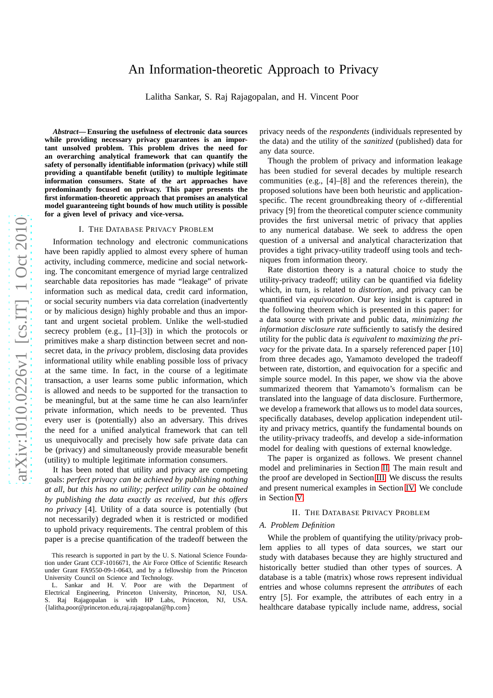# arXiv:1010.0226v1 [cs.IT] 1 Oct 2010 [arXiv:1010.0226v1 \[cs.IT\] 1 Oct 2010](http://arxiv.org/abs/1010.0226v1)

# An Information-theoretic Approach to Privacy

Lalitha Sankar, S. Raj Rajagopalan, and H. Vincent Poor

*Abstract***— Ensuring the usefulness of electronic data sources while providing necessary privacy guarantees is an important unsolved problem. This problem drives the need for an overarching analytical framework that can quantify the safety of personally identifiable information (privacy) while still providing a quantifable benefit (utility) to multiple legitimate information consumers. State of the art approaches have predominantly focused on privacy. This paper presents the first information-theoretic approach that promises an analytical model guaranteeing tight bounds of how much utility is possible for a given level of privacy and vice-versa.**

### I. THE DATABASE PRIVACY PROBLEM

Information technology and electronic communications have been rapidly applied to almost every sphere of human activity, including commerce, medicine and social network ing. The concomitant emergence of myriad large centralized searchable data repositories has made "leakage" of private information such as medical data, credit card information, or social security numbers via data correlation (inadvertently or by malicious design) highly probable and thus an important and urgent societal problem. Unlike the well-studied secrecy problem (e.g., [1]–[3]) in which the protocols or primitives make a sharp distinction between secret and nonsecret data, in the *privacy* problem, disclosing data provides informational utility while enabling possible loss of privacy at the same time. In fact, in the course of a legitimate transaction, a user learns some public information, which is allowed and needs to be supported for the transaction to be meaningful, but at the same time he can also learn/infer private information, which needs to be prevented. Thus every user is (potentially) also an adversary. This drives the need for a unified analytical framework that can tell us unequivocally and precisely how safe private data can be (privacy) and simultaneously provide measurable benefit (utility) to multiple legitimate information consumers.

It has been noted that utility and privacy are competing goals: *perfect privacy can be achieved by publishing nothing at all, but this has no utility; perfect utility can be obtained by publishing the data exactly as received, but this offers no privacy* [4]. Utility of a data source is potentially (but not necessarily) degraded when it is restricted or modified to uphold privacy requirements. The central problem of this paper is a precise quantification of the tradeoff between the privacy needs of the *respondents* (individuals represented by the data) and the utility of the *sanitized* (published) data for any data source.

Though the problem of privacy and information leakage has been studied for several decades by multiple research communities (e.g., [4]–[8] and the references therein), th e proposed solutions have been both heuristic and applicationspecific. The recent groundbreaking theory of  $\epsilon$ -differential privacy [9] from the theoretical computer science community provides the first universal metric of privacy that applies to any numerical database. We seek to address the open question of a universal and analytical characterization that provides a tight privacy-utility tradeoff using tools and techniques from information theory.

Rate distortion theory is a natural choice to study the utility-privacy tradeoff; utility can be quantified via fidelity which, in turn, is related to *distortion*, and privacy can be quantified via *equivocation*. Our key insight is captured in the following theorem which is presented in this paper: for a data source with private and public data, *minimizing the information disclosure rate* sufficiently to satisfy the desired utility for the public data *is equivalent to maximizing the privacy* for the private data. In a sparsely referenced paper [10] from three decades ago, Yamamoto developed the tradeoff between rate, distortion, and equivocation for a specific an d simple source model. In this paper, we show via the above summarized theorem that Yamamoto's formalism can be translated into the language of data disclosure. Furthermore, we develop a framework that allows us to model data sources, specifically databases, develop application independent utility and privacy metrics, quantify the fundamental bounds on the utility-privacy tradeoffs, and develop a side-information model for dealing with questions of external knowledge.

The paper is organized as follows. We present channel model and preliminaries in Section [II.](#page-0-0) The main result and the proof are developed in Section [III.](#page-2-0) We discuss the result s and present numerical examples in Section [IV.](#page-5-0) We conclude in Section [V.](#page-6-0)

### II. THE DATABASE PRIVACY PROBLEM

# <span id="page-0-0"></span>*A. Problem Definition*

While the problem of quantifying the utility/privacy problem applies to all types of data sources, we start our study with databases because they are highly structured and historically better studied than other types of sources. A database is a table (matrix) whose rows represent individua l entries and whose columns represent the *attributes* of each entry [5]. For example, the attributes of each entry in a healthcare database typically include name, address, social

This research is supported in part by the U. S. National Science Foundation under Grant CCF-1016671, the Air Force Office of Scientific Research under Grant FA9550-09-1-0643, and by a fellowship from the Princeton University Council on Science and Technology.

L. Sankar and H. V. Poor are with the Department of Electrical Engineering, Princeton University, Princeton, NJ, USA. Raj Rajagopalan is with HP Labs, Princeton, NJ, USA. {lalitha,poor@princeton.edu,raj.rajagopalan@hp.com}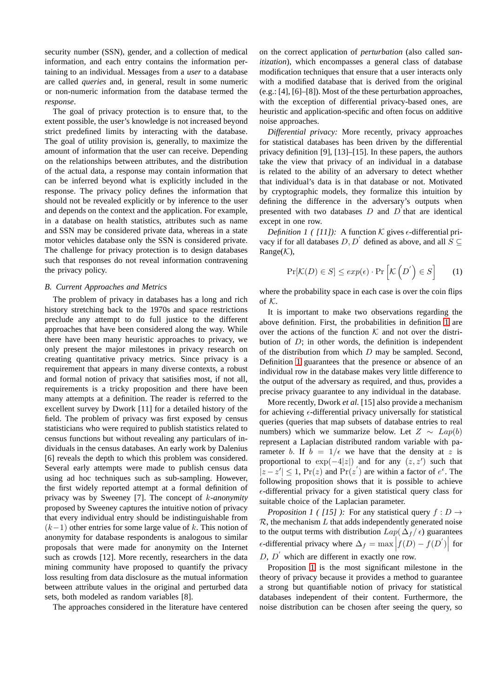security number (SSN), gender, and a collection of medical information, and each entry contains the information pertaining to an individual. Messages from a *user* to a database are called *queries* and, in general, result in some numeric or non-numeric information from the database termed the *response*.

The goal of privacy protection is to ensure that, to the extent possible, the user's knowledge is not increased beyond strict predefined limits by interacting with the database. The goal of utility provision is, generally, to maximize the amount of information that the user can receive. Depending on the relationships between attributes, and the distribution of the actual data, a response may contain information that can be inferred beyond what is explicitly included in the response. The privacy policy defines the information that should not be revealed explicitly or by inference to the user and depends on the context and the application. For example, in a database on health statistics, attributes such as name and SSN may be considered private data, whereas in a state motor vehicles database only the SSN is considered private. The challenge for privacy protection is to design databases such that responses do not reveal information contravening the privacy policy.

### *B. Current Approaches and Metrics*

The problem of privacy in databases has a long and rich history stretching back to the 1970s and space restrictions preclude any attempt to do full justice to the different approaches that have been considered along the way. While there have been many heuristic approaches to privacy, we only present the major milestones in privacy research on creating quantitative privacy metrics. Since privacy is a requirement that appears in many diverse contexts, a robust and formal notion of privacy that satisifies most, if not all, requirements is a tricky proposition and there have been many attempts at a definition. The reader is referred to the excellent survey by Dwork [11] for a detailed history of the field. The problem of privacy was first exposed by census statisticians who were required to publish statistics related to census functions but without revealing any particulars of individuals in the census databases. An early work by Dalenius [6] reveals the depth to which this problem was considered. Several early attempts were made to publish census data using ad hoc techniques such as sub-sampling. However, the first widely reported attempt at a formal definition of privacy was by Sweeney [7]. The concept of k-*anonymity* proposed by Sweeney captures the intuitive notion of privacy that every individual entry should be indistinguishable from  $(k-1)$  other entries for some large value of k. This notion of anonymity for database respondents is analogous to similar proposals that were made for anonymity on the Internet such as crowds [12]. More recently, researchers in the data mining community have proposed to quantify the privacy loss resulting from data disclosure as the mutual information between attribute values in the original and perturbed data sets, both modeled as random variables [8].

The approaches considered in the literature have centered

on the correct application of *perturbation* (also called *sanitization*), which encompasses a general class of database modification techniques that ensure that a user interacts only with a modified database that is derived from the original (e.g.: [4], [6]–[8]). Most of the these perturbation approaches, with the exception of differential privacy-based ones, are heuristic and application-specific and often focus on additive noise approaches.

*Differential privacy:* More recently, privacy approaches for statistical databases has been driven by the differential privacy definition [9], [13]–[15]. In these papers, the authors take the view that privacy of an individual in a database is related to the ability of an adversary to detect whether that individual's data is in that database or not. Motivated by cryptographic models, they formalize this intuition by defining the difference in the adversary's outputs when presented with two databases  $D$  and  $D'$  that are identical except in one row.

<span id="page-1-0"></span>*Definition 1 ( [11]):* A function  $K$  gives  $\epsilon$ -differential privacy if for all databases  $D, D'$  defined as above, and all  $S \subseteq$ Range $(K)$ ,

$$
\Pr[\mathcal{K}(D) \in S] \le \exp(\epsilon) \cdot \Pr\left[\mathcal{K}\left(D'\right) \in S\right] \tag{1}
$$

where the probability space in each case is over the coin flips of  $K$ .

It is important to make two observations regarding the above definition. First, the probabilities in definition [1](#page-1-0) are over the actions of the function  $K$  and not over the distribution of  $D$ ; in other words, the definition is independent of the distribution from which  $D$  may be sampled. Second, Definition [1](#page-1-0) guarantees that the presence or absence of an individual row in the database makes very little difference to the output of the adversary as required, and thus, provides a precise privacy guarantee to any individual in the database.

More recently, Dwork *et al*. [15] also provide a mechanism for achieving  $\epsilon$ -differential privacy universally for statistical queries (queries that map subsets of database entries to real numbers) which we summarize below. Let  $Z \sim Lap(b)$ represent a Laplacian distributed random variable with parameter b. If  $b = 1/\epsilon$  we have that the density at z is proportional to  $exp(-4|z|)$  and for any  $(z, z')$  such that  $|z - z'| \le 1$ ,  $Pr(z)$  and  $Pr(z')$  are within a factor of  $e^{\epsilon}$ . The following proposition shows that it is possible to achieve  $\epsilon$ -differential privacy for a given statistical query class for suitable choice of the Laplacian parameter.

<span id="page-1-1"></span>*Proposition 1 ( [15] ):* For any statistical query  $f : D \rightarrow$  $\mathcal{R}$ , the mechanism  $L$  that adds independently generated noise to the output terms with distribution  $Lap(\Delta_f / \epsilon)$  guarantees  $\epsilon$ -differential privacy where  $\Delta_f = \max |f(D) - f(D')|$ for  $D, D'$  which are different in exactly one row.

Proposition [1](#page-1-1) is the most significant milestone in the theory of privacy because it provides a method to guarantee a strong but quantifiable notion of privacy for statistical databases independent of their content. Furthermore, the noise distribution can be chosen after seeing the query, so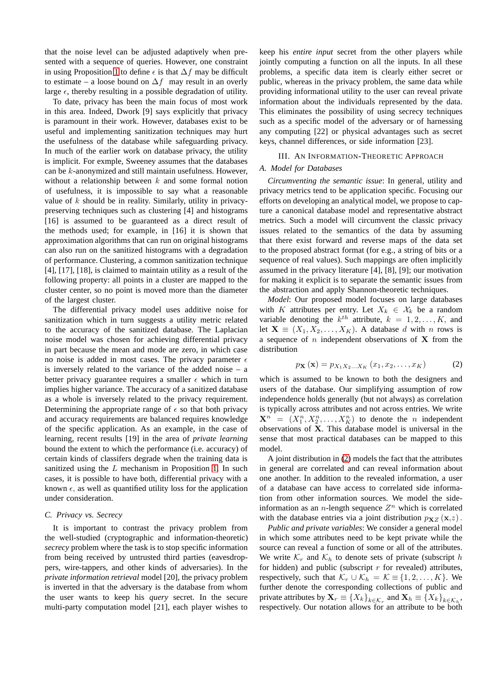that the noise level can be adjusted adaptively when presented with a sequence of queries. However, one constraint in using Proposition [1](#page-1-1) to define  $\epsilon$  is that  $\Delta f$  may be difficult to estimate – a loose bound on  $\Delta f$  may result in an overly large  $\epsilon$ , thereby resulting in a possible degradation of utility.

To date, privacy has been the main focus of most work in this area. Indeed, Dwork [9] says explicitly that privacy is paramount in their work. However, databases exist to be useful and implementing sanitization techniques may hurt the usefulness of the database while safeguarding privacy. In much of the earlier work on database privacy, the utility is implicit. For exmple, Sweeney assumes that the databases can be k-anonymized and still maintain usefulness. However, without a relationship between  $k$  and some formal notion of usefulness, it is impossible to say what a reasonable value of  $k$  should be in reality. Similarly, utility in privacypreserving techniques such as clustering [4] and histograms [16] is assumed to be guaranteed as a direct result of the methods used; for example, in [16] it is shown that approximation algorithms that can run on original histograms can also run on the sanitized histograms with a degradation of performance. Clustering, a common sanitization technique [4], [17], [18], is claimed to maintain utility as a result of the following property: all points in a cluster are mapped to the cluster center, so no point is moved more than the diameter of the largest cluster.

The differential privacy model uses additive noise for sanitization which in turn suggests a utility metric related to the accuracy of the sanitized database. The Laplacian noise model was chosen for achieving differential privacy in part because the mean and mode are zero, in which case no noise is added in most cases. The privacy parameter  $\epsilon$ is inversely related to the variance of the added noise – a better privacy guarantee requires a smaller  $\epsilon$  which in turn implies higher variance. The accuracy of a sanitized database as a whole is inversely related to the privacy requirement. Determining the appropriate range of  $\epsilon$  so that both privacy and accuracy requirements are balanced requires knowledge of the specific application. As an example, in the case of learning, recent results [19] in the area of *private learning* bound the extent to which the performance (i.e. accuracy) of certain kinds of classifers degrade when the training data is sanitized using the L mechanism in Proposition [1.](#page-1-1) In such cases, it is possible to have both, differential privacy with a known  $\epsilon$ , as well as quantified utility loss for the application under consideration.

# *C. Privacy vs. Secrecy*

It is important to contrast the privacy problem from the well-studied (cryptographic and information-theoretic) *secrecy* problem where the task is to stop specific information from being received by untrusted third parties (eavesdroppers, wire-tappers, and other kinds of adversaries). In the *private information retrieval* model [20], the privacy problem is inverted in that the adversary is the database from whom the user wants to keep his *query* secret. In the secure multi-party computation model [21], each player wishes to

keep his *entire input* secret from the other players while jointly computing a function on all the inputs. In all these problems, a specific data item is clearly either secret or public, whereas in the privacy problem, the same data while providing informational utility to the user can reveal private information about the individuals represented by the data. This eliminates the possibility of using secrecy techniques such as a specific model of the adversary or of harnessing any computing [22] or physical advantages such as secret keys, channel differences, or side information [23].

### <span id="page-2-0"></span>III. AN INFORMATION-THEORETIC APPROACH

# *A. Model for Databases*

*Circumventing the semantic issue*: In general, utility and privacy metrics tend to be application specific. Focusing our efforts on developing an analytical model, we propose to capture a canonical database model and representative abstract metrics. Such a model will circumvent the classic privacy issues related to the semantics of the data by assuming that there exist forward and reverse maps of the data set to the proposed abstract format (for e.g., a string of bits or a sequence of real values). Such mappings are often implicitly assumed in the privacy literature [4], [8], [9]; our motivation for making it explicit is to separate the semantic issues from the abstraction and apply Shannon-theoretic techniques.

*Model*: Our proposed model focuses on large databases with K attributes per entry. Let  $X_k \in \mathcal{X}_k$  be a random variable denoting the  $k^{th}$  attribute,  $k = 1, 2, \dots, K$ , and let  $\mathbf{X} \equiv (X_1, X_2, \dots, X_K)$ . A database d with n rows is a sequence of  $n$  independent observations of  $X$  from the distribution

<span id="page-2-1"></span>
$$
p_{\mathbf{X}}(\mathbf{x}) = p_{X_1 X_2 ... X_K} (x_1, x_2, ..., x_K)
$$
 (2)

which is assumed to be known to both the designers and users of the database. Our simplifying assumption of row independence holds generally (but not always) as correlation is typically across attributes and not across entries. We write  $\mathbf{X}^n = (X_1^n, X_2^n, \dots, X_K^n)$  to denote the *n* independent observations of X. This database model is universal in the sense that most practical databases can be mapped to this model.

A joint distribution in [\(2\)](#page-2-1) models the fact that the attributes in general are correlated and can reveal information about one another. In addition to the revealed information, a user of a database can have access to correlated side information from other information sources. We model the sideinformation as an *n*-length sequence  $Z^n$  which is correlated with the database entries via a joint distribution  $p_{\mathbf{X}Z}(\mathbf{x},z)$ .

*Public and private variables*: We consider a general model in which some attributes need to be kept private while the source can reveal a function of some or all of the attributes. We write  $\mathcal{K}_r$  and  $\mathcal{K}_h$  to denote sets of private (subscript h for hidden) and public (subscript  $r$  for revealed) attributes, respectively, such that  $\mathcal{K}_r \cup \mathcal{K}_h = \mathcal{K} \equiv \{1, 2, \ldots, K\}$ . We further denote the corresponding collections of public and private attributes by  $\mathbf{X}_r \equiv \{X_k\}_{k \in \mathcal{K}_r}$  and  $\mathbf{X}_h \equiv \{X_k\}_{k \in \mathcal{K}_h}$ , respectively. Our notation allows for an attribute to be both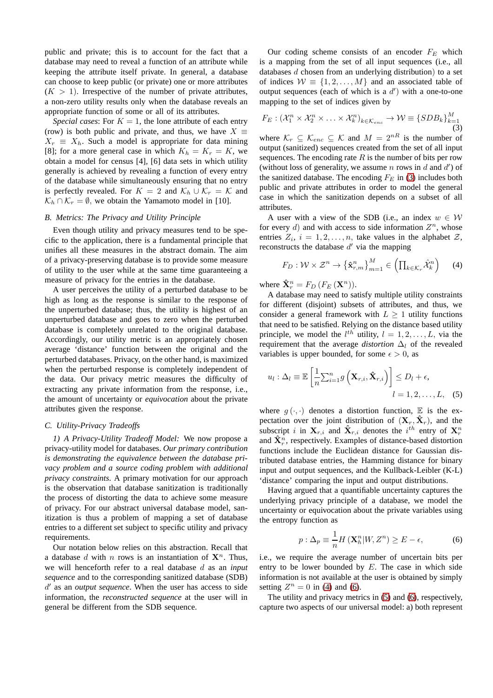public and private; this is to account for the fact that a database may need to reveal a function of an attribute while keeping the attribute itself private. In general, a database can choose to keep public (or private) one or more attributes  $(K > 1)$ . Irrespective of the number of private attributes, a non-zero utility results only when the database reveals an appropriate function of some or all of its attributes.

*Special cases:* For  $K = 1$ , the lone attribute of each entry (row) is both public and private, and thus, we have  $X \equiv$  $X_r \equiv X_h$ . Such a model is appropriate for data mining [8]; for a more general case in which  $K_h = K_r = K$ , we obtain a model for census [4], [6] data sets in which utility generally is achieved by revealing a function of every entry of the database while simultaneously ensuring that no entry is perfectly revealed. For  $K = 2$  and  $\mathcal{K}_h \cup \mathcal{K}_r = \mathcal{K}$  and  $\mathcal{K}_h \cap \mathcal{K}_r = \emptyset$ , we obtain the Yamamoto model in [10].

### *B. Metrics: The Privacy and Utility Principle*

Even though utility and privacy measures tend to be specific to the application, there is a fundamental principle that unifies all these measures in the abstract domain. The aim of a privacy-preserving database is to provide some measure of utility to the user while at the same time guaranteeing a measure of privacy for the entries in the database.

A user perceives the utility of a perturbed database to be high as long as the response is similar to the response of the unperturbed database; thus, the utility is highest of an unperturbed database and goes to zero when the perturbed database is completely unrelated to the original database. Accordingly, our utility metric is an appropriately chosen average 'distance' function between the original and the perturbed databases. Privacy, on the other hand, is maximized when the perturbed response is completely independent of the data. Our privacy metric measures the difficulty of extracting any private information from the response, i.e., the amount of uncertainty or *equivocation* about the private attributes given the response.

### *C. Utility-Privacy Tradeoffs*

*1) A Privacy-Utility Tradeoff Model:* We now propose a privacy-utility model for databases. *Our primary contribution is demonstrating the equivalence between the database privacy problem and a source coding problem with additional privacy constraints*. A primary motivation for our approach is the observation that database sanitization is traditionally the process of distorting the data to achieve some measure of privacy. For our abstract universal database model, sanitization is thus a problem of mapping a set of database entries to a different set subject to specific utility and privacy requirements.

Our notation below relies on this abstraction. Recall that a database d with n rows is an instantiation of  $X^n$ . Thus, we will henceforth refer to a real database d as an *input sequence* and to the corresponding sanitized database (SDB) d ′ as an *output sequence*. When the user has access to side information, the *reconstructed sequence* at the user will in general be different from the SDB sequence.

Our coding scheme consists of an encoder  $F_E$  which is a mapping from the set of all input sequences (i.e., all databases  $d$  chosen from an underlying distribution) to a set of indices  $W = \{1, 2, ..., M\}$  and an associated table of output sequences (each of which is a  $d'$ ) with a one-to-one mapping to the set of indices given by

<span id="page-3-0"></span>
$$
F_E: (\mathcal{X}_1^n \times \mathcal{X}_2^n \times \ldots \times \mathcal{X}_k^n)_{k \in \mathcal{K}_{enc}} \to \mathcal{W} \equiv \{SDB_k\}_{k=1}^M
$$
(3)

where  $\mathcal{K}_r \subseteq \mathcal{K}_{enc} \subseteq \mathcal{K}$  and  $M = 2^{nR}$  is the number of output (sanitized) sequences created from the set of all input sequences. The encoding rate  $R$  is the number of bits per row (without loss of generality, we assume  $n$  rows in  $d$  and  $d'$ ) of the sanitized database. The encoding  $F_E$  in [\(3\)](#page-3-0) includes both public and private attributes in order to model the general case in which the sanitization depends on a subset of all attributes.

A user with a view of the SDB (i.e., an index  $w \in W$ for every  $d$ ) and with access to side information  $Z<sup>n</sup>$ , whose entries  $Z_i$ ,  $i = 1, 2, \dots, n$ , take values in the alphabet  $Z$ , reconstructs the database  $d'$  via the mapping

<span id="page-3-1"></span>
$$
F_D: \mathcal{W} \times \mathcal{Z}^n \to \left\{ \hat{\mathbf{x}}_{r,m}^n \right\}_{m=1}^M \in \left( \prod_{k \in \mathcal{K}_r} \hat{\mathcal{X}}_k^n \right) \tag{4}
$$

where  $\mathbf{\hat{X}}_r^n = F_D \left( F_E \left( \mathbf{X}^n \right) \right)$ .

A database may need to satisfy multiple utility constraints for different (disjoint) subsets of attributes, and thus, we consider a general framework with  $L > 1$  utility functions that need to be satisfied. Relying on the distance based utility principle, we model the  $l^{th}$  utility,  $l = 1, 2, \dots, L$ , via the requirement that the average *distortion*  $\Delta_l$  of the revealed variables is upper bounded, for some  $\epsilon > 0$ , as

<span id="page-3-3"></span>
$$
u_l: \Delta_l \equiv \mathbb{E}\left[\frac{1}{n}\sum_{i=1}^n g\left(\mathbf{X}_{r,i}, \hat{\mathbf{X}}_{r,i}\right)\right] \leq D_l + \epsilon,
$$
  

$$
l = 1, 2, \dots, L, \quad (5)
$$

where  $g(\cdot, \cdot)$  denotes a distortion function,  $\mathbb E$  is the expectation over the joint distribution of  $(X_r, \hat{X}_r)$ , and the subscript i in  $X_{r,i}$  and  $\hat{X}_{r,i}$  denotes the i<sup>th</sup> entry of  $X_r^n$ and  $\hat{\mathbf{X}}_r^n$ , respectively. Examples of distance-based distortion functions include the Euclidean distance for Gaussian distributed database entries, the Hamming distance for binary input and output sequences, and the Kullback-Leibler (K-L) 'distance' comparing the input and output distributions.

Having argued that a quantifiable uncertainty captures the underlying privacy principle of a database, we model the uncertainty or equivocation about the private variables using the entropy function as

<span id="page-3-2"></span>
$$
p: \Delta_p \equiv \frac{1}{n} H\left(\mathbf{X}_h^n | W, Z^n\right) \ge E - \epsilon,\tag{6}
$$

i.e., we require the average number of uncertain bits per entry to be lower bounded by  $E$ . The case in which side information is not available at the user is obtained by simply setting  $Z^n = 0$  in [\(4\)](#page-3-1) and [\(6\)](#page-3-2).

The utility and privacy metrics in [\(5\)](#page-3-3) and [\(6\)](#page-3-2), respectively, capture two aspects of our universal model: a) both represent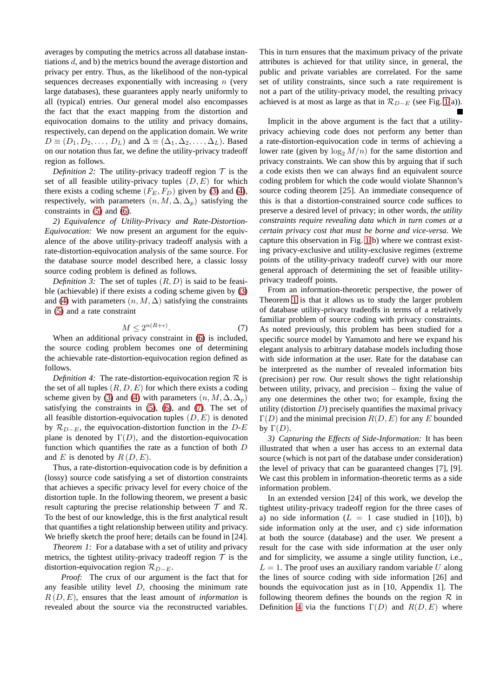averages by computing the metrics across all database instantiations d, and b) the metrics bound the average distortion and privacy per entry. Thus, as the likelihood of the non-typical sequences decreases exponentially with increasing  $n$  (very large databases), these guarantees apply nearly uniformly to all (typical) entries. Our general model also encompasses the fact that the exact mapping from the distortion and equivocation domains to the utility and privacy domains, respectively, can depend on the application domain. We write  $D \equiv (D_1, D_2, \ldots, D_L)$  and  $\Delta \equiv (\Delta_1, \Delta_2, \ldots, \Delta_L)$ . Based on our notation thus far, we define the utility-privacy tradeoff region as follows.

*Definition 2:* The utility-privacy tradeoff region  $\mathcal T$  is the set of all feasible utility-privacy tuples  $(D, E)$  for which there exists a coding scheme  $(F_E, F_D)$  given by [\(3\)](#page-3-0) and [\(4\)](#page-3-1), respectively, with parameters  $(n, M, \Delta, \Delta_p)$  satisfying the constraints in [\(5\)](#page-3-3) and [\(6\)](#page-3-2).

*2) Equivalence of Utility-Privacy and Rate-Distortion-Equivocation:* We now present an argument for the equivalence of the above utility-privacy tradeoff analysis with a rate-distortion-equivocation analysis of the same source. For the database source model described here, a classic lossy source coding problem is defined as follows.

*Definition 3:* The set of tuples  $(R, D)$  is said to be feasible (achievable) if there exists a coding scheme given by [\(3\)](#page-3-0) and [\(4\)](#page-3-1) with parameters  $(n, M, \Delta)$  satisfying the constraints in [\(5\)](#page-3-3) and a rate constraint

<span id="page-4-0"></span>
$$
M \le 2^{n(R+\epsilon)}.\tag{7}
$$

When an additional privacy constraint in [\(6\)](#page-3-2) is included, the source coding problem becomes one of determining the achievable rate-distortion-equivocation region defined as follows.

<span id="page-4-2"></span>*Definition 4:* The rate-distortion-equivocation region  $\mathcal{R}$  is the set of all tuples  $(R, D, E)$  for which there exists a coding scheme given by [\(3\)](#page-3-0) and [\(4\)](#page-3-1) with parameters  $(n, M, \Delta, \Delta_n)$ satisfying the constraints in [\(5\)](#page-3-3), [\(6\)](#page-3-2), and [\(7\)](#page-4-0). The set of all feasible distortion-equivocation tuples  $(D, E)$  is denoted by  $\mathcal{R}_{D-E}$ , the equivocation-distortion function in the D-E plane is denoted by  $\Gamma(D)$ , and the distortion-equivocation function which quantifies the rate as a function of both D and E is denoted by  $R(D, E)$ .

Thus, a rate-distortion-equivocation code is by definition a (lossy) source code satisfying a set of distortion constraints that achieves a specific privacy level for every choice of the distortion tuple. In the following theorem, we present a basic result capturing the precise relationship between  $T$  and  $R$ . To the best of our knowledge, this is the first analytical result that quantifies a tight relationship between utility and privacy. We briefly sketch the proof here; details can be found in [24].

<span id="page-4-1"></span>*Theorem 1:* For a database with a set of utility and privacy metrics, the tightest utility-privacy tradeoff region  $\mathcal T$  is the distortion-equivocation region  $\mathcal{R}_{D-E}$ .

*Proof:* The crux of our argument is the fact that for any feasible utility level  $D$ , choosing the minimum rate  $R(D, E)$ , ensures that the least amount of *information* is revealed about the source via the reconstructed variables.

This in turn ensures that the maximum privacy of the private attributes is achieved for that utility since, in general, the public and private variables are correlated. For the same set of utility constraints, since such a rate requirement is not a part of the utility-privacy model, the resulting privacy achieved is at most as large as that in  $\mathcal{R}_{D-E}$  (see Fig. [1\(](#page-5-1)a)).

Implicit in the above argument is the fact that a utilityprivacy achieving code does not perform any better than a rate-distortion-equivocation code in terms of achieving a lower rate (given by  $\log_2 M/n$ ) for the same distortion and privacy constraints. We can show this by arguing that if such a code exists then we can always find an equivalent source coding problem for which the code would violate Shannon's source coding theorem [25]. An immediate consequence of this is that a distortion-constrained source code suffices to preserve a desired level of privacy; in other words, *the utility constraints require revealing data which in turn comes at a certain privacy cost that must be borne and vice-versa*. We capture this observation in Fig. [1\(](#page-5-1)b) where we contrast existing privacy-exclusive and utility-exclusive regimes (extreme points of the utility-privacy tradeoff curve) with our more general approach of determining the set of feasible utilityprivacy tradeoff points.

From an information-theoretic perspective, the power of Theorem [1](#page-4-1) is that it allows us to study the larger problem of database utility-privacy tradeoffs in terms of a relatively familiar problem of source coding with privacy constraints. As noted previously, this problem has been studied for a specific source model by Yamamoto and here we expand his elegant analysis to arbitrary database models including those with side information at the user. Rate for the database can be interpreted as the number of revealed information bits (precision) per row. Our result shows the tight relationship between utility, privacy, and precision – fixing the value of any one determines the other two; for example, fixing the utility (distortion  $D$ ) precisely quantifies the maximal privacy  $\Gamma(D)$  and the minimal precision  $R(D, E)$  for any E bounded by  $\Gamma(D)$ .

*3) Capturing the Effects of Side-Information:* It has been illustrated that when a user has access to an external data source (which is not part of the database under consideration) the level of privacy that can be guaranteed changes [7], [9]. We cast this problem in information-theoretic terms as a side information problem.

In an extended version [24] of this work, we develop the tightest utility-privacy tradeoff region for the three cases of a) no side information ( $L = 1$  case studied in [10]), b) side information only at the user, and c) side information at both the source (database) and the user. We present a result for the case with side information at the user only and for simplicity, we assume a single utility function, i.e.,  $L = 1$ . The proof uses an auxiliary random variable U along the lines of source coding with side information [26] and bounds the equivocation just as in [10, Appendix 1]. The following theorem defines the bounds on the region  $\mathcal R$  in Definition [4](#page-4-2) via the functions  $\Gamma(D)$  and  $R(D, E)$  where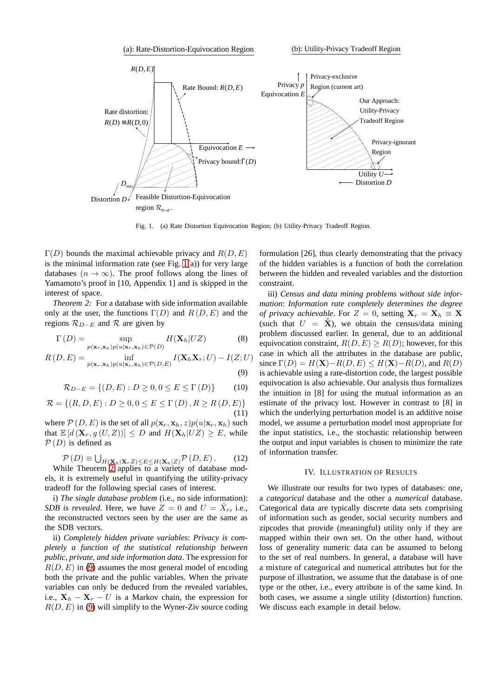(a): Rate-Distortion-Equivocation Region (b): Utility-Privacy Tradeoff Region



<span id="page-5-1"></span>Fig. 1. (a) Rate Distortion Equivocation Region; (b) Utility-Privacy Tradeoff Region.

 $\Gamma(D)$  bounds the maximal achievable privacy and  $R(D, E)$ is the minimal information rate (see Fig.  $1(a)$ ) for very large databases  $(n \to \infty)$ . The proof follows along the lines of Yamamoto's proof in [10, Appendix 1] and is skipped in the interest of space.

<span id="page-5-2"></span>*Theorem 2:* For a database with side information available only at the user, the functions  $\Gamma(D)$  and  $R(D, E)$  and the regions  $\mathcal{R}_{D-E}$  and  $\mathcal R$  are given by

$$
\Gamma(D) = \sup_{p(\mathbf{x}_r, \mathbf{x}_h) p(u|\mathbf{x}_r, \mathbf{x}_h) \in \mathcal{P}(D)} H(\mathbf{X}_h | UZ)
$$
(8)

$$
R(D, E) = \inf_{p(\mathbf{x}_r, \mathbf{x}_h) p(u|\mathbf{x}_r, \mathbf{x}_h) \in \mathcal{P}(D, E)} I(\mathbf{X}_h \mathbf{X}_r; U) - I(Z; U)
$$
\n(9)

$$
\mathcal{R}_{D-E} = \{(D, E) : D \ge 0, 0 \le E \le \Gamma(D)\}\tag{10}
$$

$$
\mathcal{R} = \{ (R, D, E) : D \ge 0, 0 \le E \le \Gamma(D), R \ge R(D, E) \}
$$
\n(11)

where  $\mathcal{P}(D, E)$  is the set of all  $p(\mathbf{x}_r, \mathbf{x}_h, z)p(u|\mathbf{x}_r, \mathbf{x}_h)$  such that  $\mathbb{E}[d(\mathbf{X}_r, g(U, Z))] \leq D$  and  $H(\mathbf{X}_h | UZ) \geq E$ , while  $\mathcal{P}(D)$  is defined as

$$
\mathcal{P}(D) \equiv \bigcup_{H(\mathbf{X}_h|\mathbf{X}_r Z) \le E \le H(\mathbf{X}_h|Z)} \mathcal{P}(D, E). \tag{12}
$$

While Theorem [2](#page-5-2) applies to a variety of database models, it is extremely useful in quantifying the utility-privacy tradeoff for the following special cases of interest.

i) *The single database problem* (i.e., no side information): *SDB is revealed.* Here, we have  $Z = 0$  and  $U = \hat{X}_r$ , i.e., the reconstructed vectors seen by the user are the same as the SDB vectors.

ii) *Completely hidden private variables*: *Privacy is completely a function of the statistical relationship between public, private, and side information data*. The expression for  $R(D, E)$  in [\(9\)](#page-5-3) assumes the most general model of encoding both the private and the public variables. When the private variables can only be deduced from the revealed variables, i.e.,  $X_h - X_r - U$  is a Markov chain, the expression for  $R(D, E)$  in [\(9\)](#page-5-3) will simplify to the Wyner-Ziv source coding

formulation [26], thus clearly demonstrating that the privacy of the hidden variables is a function of both the correlation between the hidden and revealed variables and the distortion constraint.

<span id="page-5-3"></span>iii) *Census and data mining problems without side information*: *Information rate completely determines the degree of privacy achievable.* For  $Z = 0$ , setting  $X_r = X_h \equiv X$ (such that  $U = \hat{\mathbf{X}}$ ), we obtain the census/data mining problem discussed earlier. In general, due to an additional equivocation constraint,  $R(D, E) \ge R(D)$ ; however, for this case in which all the attributes in the database are public, since  $\Gamma(D) = H(\mathbf{X}) - R(D, E) \leq H(\mathbf{X}) - R(D)$ , and  $R(D)$ is achievable using a rate-distortion code, the largest possible equivocation is also achievable. Our analysis thus formalizes the intuition in [8] for using the mutual information as an estimate of the privacy lost. However in contrast to [8] in which the underlying perturbation model is an additive noise model, we assume a perturbation model most appropriate for the input statistics, i.e., the stochastic relationship between the output and input variables is chosen to minimize the rate of information transfer.

### IV. ILLUSTRATION OF RESULTS

<span id="page-5-0"></span>We illustrate our results for two types of databases: one, a *categorical* database and the other a *numerical* database. Categorical data are typically discrete data sets comprising of information such as gender, social security numbers and zipcodes that provide (meaningful) utility only if they are mapped within their own set. On the other hand, without loss of generality numeric data can be assumed to belong to the set of real numbers. In general, a database will have a mixture of categorical and numerical attributes but for the purpose of illustration, we assume that the database is of one type or the other, i.e., every attribute is of the same kind. In both cases, we assume a single utility (distortion) function. We discuss each example in detail below.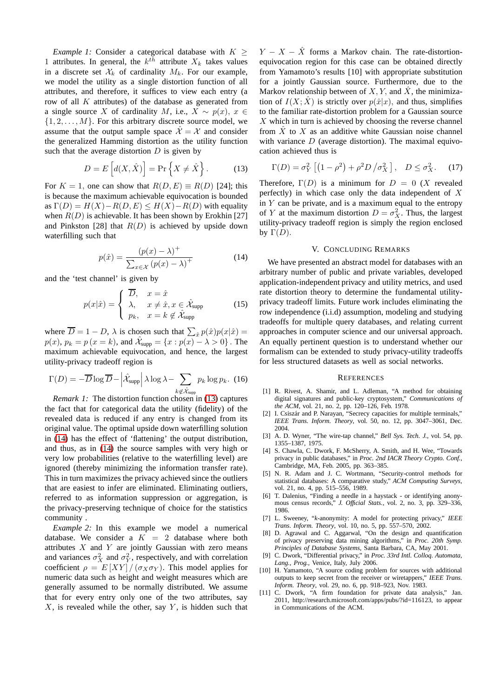*Example 1:* Consider a categorical database with  $K \geq$ 1 attributes. In general, the  $k^{th}$  attribute  $X_k$  takes values in a discrete set  $\mathcal{X}_k$  of cardinality  $M_k$ . For our example, we model the utility as a single distortion function of all attributes, and therefore, it suffices to view each entry (a row of all K attributes) of the database as generated from a single source X of cardinality M, i.e.,  $X \sim p(x)$ ,  $x \in$  $\{1, 2, \ldots, M\}$ . For this arbitrary discrete source model, we assume that the output sample space  $\mathcal{X} = \mathcal{X}$  and consider the generalized Hamming distortion as the utility function such that the average distortion  $D$  is given by

<span id="page-6-1"></span>
$$
D = E\left[d(X, \hat{X})\right] = \Pr\left\{X \neq \hat{X}\right\}.
$$
 (13)

For  $K = 1$ , one can show that  $R(D, E) \equiv R(D)$  [24]; this is because the maximum achievable equivocation is bounded as  $\Gamma(D) = H(X) - R(D, E) \leq H(X) - R(D)$  with equality when  $R(D)$  is achievable. It has been shown by Erokhin [27] and Pinkston [28] that  $R(D)$  is achieved by upside down waterfilling such that

<span id="page-6-2"></span>
$$
p(\hat{x}) = \frac{(p(x) - \lambda)^{+}}{\sum_{x \in \mathcal{X}} (p(x) - \lambda)^{+}} \tag{14}
$$

and the 'test channel' is given by

$$
p(x|\hat{x}) = \begin{cases} \overline{D}, & x = \hat{x} \\ \lambda, & x \neq \hat{x}, x \in \hat{\mathcal{X}}_{\text{supp}} \\ p_k, & x = k \notin \hat{\mathcal{X}}_{\text{supp}} \end{cases}
$$
(15)

where  $D = 1 - D$ ,  $\lambda$  is chosen such that  $\sum_{\hat{x}} p(\hat{x}) p(x|\hat{x}) =$  $p(x)$ ,  $p_k = p(x = k)$ , and  $\hat{\mathcal{X}}_{\text{supp}} = \{x : p(x) - \lambda > 0\}$ . The maximum achievable equivocation, and hence, the largest utility-privacy tradeoff region is

$$
\Gamma(D) = -\overline{D} \log \overline{D} - \left| \hat{\mathcal{X}}_{\text{supp}} \right| \lambda \log \lambda - \sum_{k \notin \hat{\mathcal{X}}_{\text{supp}}} p_k \log p_k. (16)
$$

*Remark 1:* The distortion function chosen in [\(13\)](#page-6-1) captures the fact that for categorical data the utility (fidelity) of the revealed data is reduced if any entry is changed from its original value. The optimal upside down waterfilling solution in [\(14\)](#page-6-2) has the effect of 'flattening' the output distribution, and thus, as in [\(14\)](#page-6-2) the source samples with very high or very low probabilities (relative to the waterfilling level) are ignored (thereby minimizing the information transfer rate). This in turn maximizes the privacy achieved since the outliers that are easiest to infer are eliminated. Eliminating outliers, referred to as information suppression or aggregation, is the privacy-preserving technique of choice for the statistics community .

*Example 2:* In this example we model a numerical database. We consider a  $K = 2$  database where both attributes  $X$  and  $Y$  are jointly Gaussian with zero means and variances  $\sigma_X^2$  and  $\sigma_Y^2$ , respectively, and with correlation coefficient  $\rho = E[XY]/(\sigma_X \sigma_Y)$ . This model applies for numeric data such as height and weight measures which are generally assumed to be normally distributed. We assume that for every entry only one of the two attributes, say  $X$ , is revealed while the other, say  $Y$ , is hidden such that

 $Y - X - \hat{X}$  forms a Markov chain. The rate-distortionequivocation region for this case can be obtained directly from Yamamoto's results [10] with appropriate substitution for a jointly Gaussian source. Furthermore, due to the Markov relationship between of X, Y, and  $\hat{X}$ , the minimization of  $I(X; X)$  is strictly over  $p(\hat{x}|x)$ , and thus, simplifies to the familiar rate-distortion problem for a Gaussian source  $X$  which in turn is achieved by choosing the reverse channel from  $\hat{X}$  to  $X$  as an additive white Gaussian noise channel with variance  $D$  (average distortion). The maximal equivocation achieved thus is

$$
\Gamma(D) = \sigma_Y^2 \left[ \left( 1 - \rho^2 \right) + \rho^2 D / \sigma_X^2 \right], \quad D \le \sigma_X^2. \tag{17}
$$

Therefore,  $\Gamma(D)$  is a minimum for  $D = 0$  (X revealed perfectly) in which case only the data independent of X in  $Y$  can be private, and is a maximum equal to the entropy of Y at the maximum distortion  $D = \sigma_X^2$ . Thus, the largest utility-privacy tradeoff region is simply the region enclosed by  $\Gamma(D)$ .

# V. CONCLUDING REMARKS

<span id="page-6-0"></span>We have presented an abstract model for databases with an arbitrary number of public and private variables, developed application-independent privacy and utility metrics, and used rate distortion theory to determine the fundamental utilityprivacy tradeoff limits. Future work includes eliminating the row independence (i.i.d) assumption, modeling and studying tradeoffs for multiple query databases, and relating current approaches in computer science and our universal approach. An equally pertinent question is to understand whether our formalism can be extended to study privacy-utility tradeoffs for less structured datasets as well as social networks.

### **REFERENCES**

- [1] R. Rivest, A. Shamir, and L. Adleman, "A method for obtaining digital signatures and public-key cryptosystem," *Communications of the ACM*, vol. 21, no. 2, pp. 120–126, Feb. 1978.
- [2] I. Csiszár and P. Narayan, "Secrecy capacities for multiple terminals," *IEEE Trans. Inform. Theory*, vol. 50, no. 12, pp. 3047–3061, Dec. 2004.
- [3] A. D. Wyner, "The wire-tap channel," *Bell Sys. Tech. J.*, vol. 54, pp. 1355–1387, 1975.
- [4] S. Chawla, C. Dwork, F. McSherry, A. Smith, and H. Wee, "Towards privacy in public databases," in *Proc. 2nd IACR Theory Crypto. Conf.*, Cambridge, MA, Feb. 2005, pp. 363–385.
- [5] N. R. Adam and J. C. Wortmann, "Security-control methods for statistical databases: A comparative study," *ACM Computing Surveys*, vol. 21, no. 4, pp. 515–556, 1989.
- [6] T. Dalenius, "Finding a needle in a haystack or identifying anonymous census records," *J. Official Stats.*, vol. 2, no. 3, pp. 329–336, 1986.
- [7] L. Sweeney, "*k*-anonymity: A model for protecting privacy," *IEEE Trans. Inform. Theory*, vol. 10, no. 5, pp. 557–570, 2002.
- [8] D. Agrawal and C. Aggarwal, "On the design and quantification of privacy preserving data mining algorithms," in *Proc. 20th Symp. Principles of Database Systems*, Santa Barbara, CA, May 2001.
- [9] C. Dwork, "Differential privacy," in *Proc. 33rd Intl. Colloq. Automata, Lang., Prog.*, Venice, Italy, July 2006.
- [10] H. Yamamoto, "A source coding problem for sources with additional outputs to keep secret from the receiver or wiretappers," *IEEE Trans. Inform. Theory*, vol. 29, no. 6, pp. 918–923, Nov. 1983.
- [11] C. Dwork, "A firm foundation for private data analysis," Jan. 2011, http://research.microsoft.com/apps/pubs/?id=116123, to appear in Communications of the ACM.